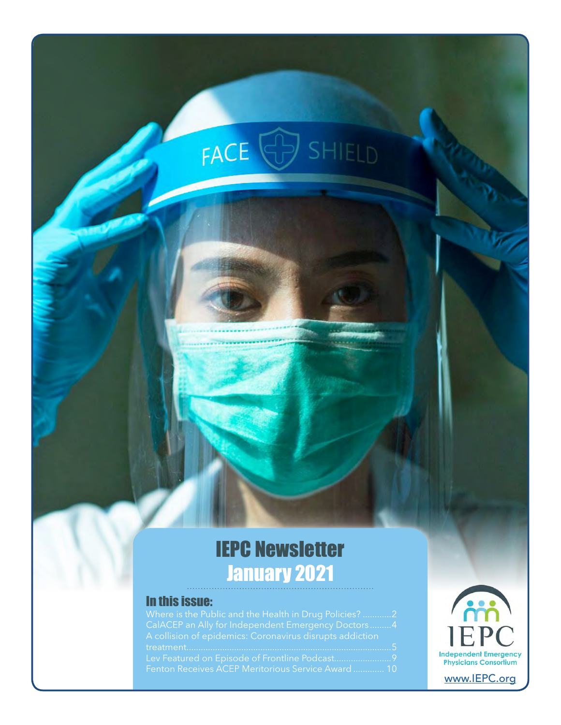# FACE **SHIELD**

### IEPC Newsletter January 2021

#### In this issue:

| Where is the Public and the Health in Drug Policies? 2   |
|----------------------------------------------------------|
| CalACEP an Ally for Independent Emergency Doctors4       |
| A collision of epidemics: Coronavirus disrupts addiction |
|                                                          |
| Lev Featured on Episode of Frontline Podcast9            |
| Fenton Receives ACEP Meritorious Service Award  10       |
|                                                          |

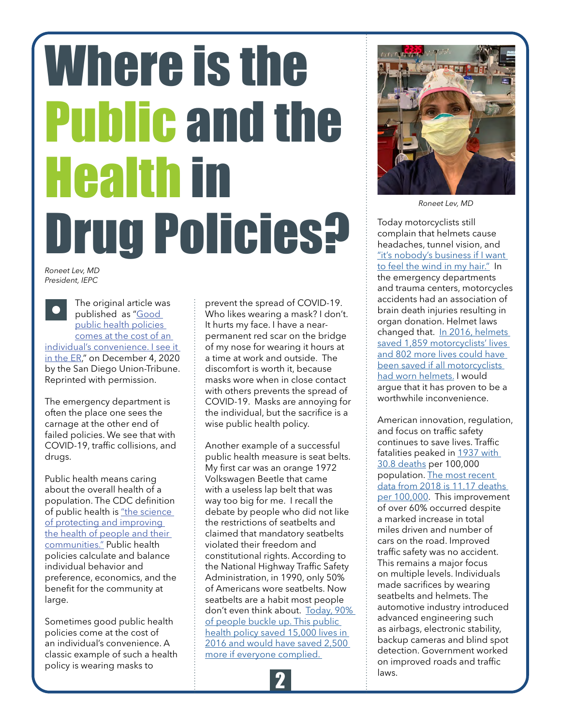# <span id="page-1-0"></span>Where is the Public and the Health in Drug Policies?

*Roneet Lev, MD President, IEPC*

The original article was published as "[Good](https://www.sandiegouniontribune.com/opinion/commentary/story/2020-12-04/public-health-policy)  [public health policies](https://www.sandiegouniontribune.com/opinion/commentary/story/2020-12-04/public-health-policy)  [comes at the cost of an](https://www.sandiegouniontribune.com/opinion/commentary/story/2020-12-04/public-health-policy)  [individual's convenience. I see it](https://www.sandiegouniontribune.com/opinion/commentary/story/2020-12-04/public-health-policy)  [in the ER,"](https://www.sandiegouniontribune.com/opinion/commentary/story/2020-12-04/public-health-policy) on December 4, 2020 by the San Diego Union-Tribune. Reprinted with permission.

The emergency department is often the place one sees the carnage at the other end of failed policies. We see that with COVID-19, traffic collisions, and drugs.

Public health means caring about the overall health of a population. The CDC definition of public health is ["the science](https://www.cdcfoundation.org/what-public-health)  [of protecting and improving](https://www.cdcfoundation.org/what-public-health)  [the health of people and their](https://www.cdcfoundation.org/what-public-health)  [communities."](https://www.cdcfoundation.org/what-public-health) Public health policies calculate and balance individual behavior and preference, economics, and the benefit for the community at large.

Sometimes good public health policies come at the cost of an individual's convenience. A classic example of such a health policy is wearing masks to

prevent the spread of COVID-19. Who likes wearing a mask? I don't. It hurts my face. I have a nearpermanent red scar on the bridge of my nose for wearing it hours at a time at work and outside. The discomfort is worth it, because masks wore when in close contact with others prevents the spread of COVID-19. Masks are annoying for the individual, but the sacrifice is a wise public health policy.

Another example of a successful public health measure is seat belts. My first car was an orange 1972 Volkswagen Beetle that came with a useless lap belt that was way too big for me. I recall the debate by people who did not like the restrictions of seatbelts and claimed that mandatory seatbelts violated their freedom and constitutional rights. According to the National Highway Traffic Safety Administration, in 1990, only 50% of Americans wore seatbelts. Now seatbelts are a habit most people don't even think about. [Today, 90%](https://www.nhtsa.gov/seat-belts/seat-belts-save-lives)  [of people buckle up. This public](https://www.nhtsa.gov/seat-belts/seat-belts-save-lives)  [health policy saved 15,000 lives in](https://www.nhtsa.gov/seat-belts/seat-belts-save-lives)  2016 and would have saved 2,500 [more if everyone complied.](https://www.nhtsa.gov/seat-belts/seat-belts-save-lives) 





*Roneet Lev, MD*

Today motorcyclists still complain that helmets cause headaches, tunnel vision, and ["it's nobody's business if I want](http://www.chicagonow.com/chicago-board-tirade/2014/06/helmets-suck/)  [to feel the wind in my hair."](http://www.chicagonow.com/chicago-board-tirade/2014/06/helmets-suck/) In the emergency departments and trauma centers, motorcycles accidents had an association of brain death injuries resulting in organ donation. Helmet laws changed that. In 2016, helmets [saved 1,859 motorcyclists' lives](https://crashstats.nhtsa.dot.gov/Api/Public/ViewPublication/812492)  [and 802 more lives could have](https://crashstats.nhtsa.dot.gov/Api/Public/ViewPublication/812492)  [been saved if all motorcyclists](https://crashstats.nhtsa.dot.gov/Api/Public/ViewPublication/812492)  [had worn helmets.](https://crashstats.nhtsa.dot.gov/Api/Public/ViewPublication/812492) I would argue that it has proven to be a worthwhile inconvenience.

American innovation, regulation, and focus on traffic safety continues to save lives. Traffic fatalities peaked in [1937 with](https://injuryfacts.nsc.org/motor-vehicle/historical-fatality-trends/deaths-and-rates/)  [30.8 deaths](https://injuryfacts.nsc.org/motor-vehicle/historical-fatality-trends/deaths-and-rates/) per 100,000 population. [The most recent](https://www-fars.nhtsa.dot.gov/Main/index.aspx)  [data from 2018 is 11.17 deaths](https://www-fars.nhtsa.dot.gov/Main/index.aspx)  [per 100,000.](https://www-fars.nhtsa.dot.gov/Main/index.aspx) This improvement of over 60% occurred despite a marked increase in total miles driven and number of cars on the road. Improved traffic safety was no accident. This remains a major focus on multiple levels. Individuals made sacrifices by wearing seatbelts and helmets. The automotive industry introduced advanced engineering such as airbags, electronic stability, backup cameras and blind spot detection. Government worked on improved roads and traffic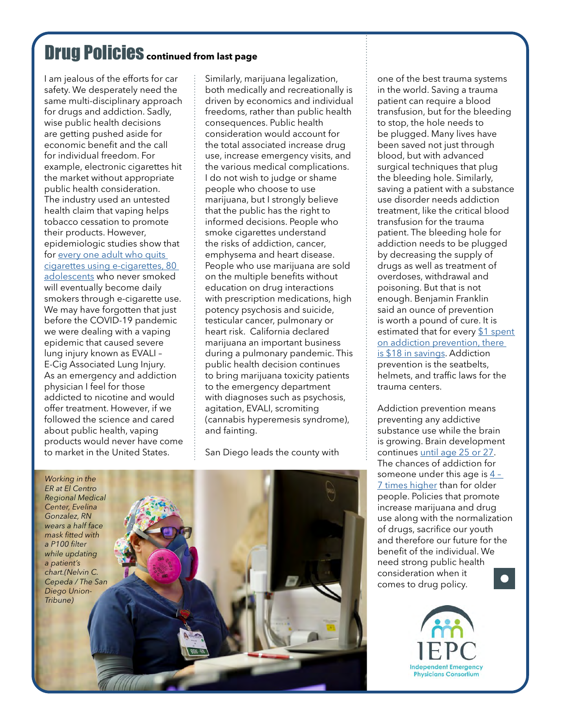### Drug Policies **continued from last page**

I am jealous of the efforts for car safety. We desperately need the same multi-disciplinary approach for drugs and addiction. Sadly, wise public health decisions are getting pushed aside for economic benefit and the call for individual freedom. For example, electronic cigarettes hit the market without appropriate public health consideration. The industry used an untested health claim that vaping helps tobacco cessation to promote their products. However, epidemiologic studies show that for every one adult who quits [cigarettes using e-cigarettes, 80](https://journals.plos.org/plosone/article?id=10.1371/journal.pone.0193328)  [adolescents](https://journals.plos.org/plosone/article?id=10.1371/journal.pone.0193328) who never smoked will eventually become daily smokers through e-cigarette use. We may have forgotten that just before the COVID-19 pandemic we were dealing with a vaping epidemic that caused severe lung injury known as EVALI – E-Cig Associated Lung Injury. As an emergency and addiction physician I feel for those addicted to nicotine and would offer treatment. However, if we followed the science and cared about public health, vaping products would never have come to market in the United States.

Similarly, marijuana legalization, both medically and recreationally is driven by economics and individual freedoms, rather than public health consequences. Public health consideration would account for the total associated increase drug use, increase emergency visits, and the various medical complications. I do not wish to judge or shame people who choose to use marijuana, but I strongly believe that the public has the right to informed decisions. People who smoke cigarettes understand the risks of addiction, cancer, emphysema and heart disease. People who use marijuana are sold on the multiple benefits without education on drug interactions with prescription medications, high potency psychosis and suicide, testicular cancer, pulmonary or heart risk. California declared marijuana an important business during a pulmonary pandemic. This public health decision continues to bring marijuana toxicity patients to the emergency department with diagnoses such as psychosis, agitation, EVALI, scromiting (cannabis hyperemesis syndrome), and fainting.

San Diego leads the county with

*Working in the ER at El Centro Regional Medical Center, Evelina Gonzalez, RN wears a half face mask fitted with a P100 filter while updating a patient's chart.(Nelvin C. Cepeda / The San Diego Union-Tribune)*

one of the best trauma systems in the world. Saving a trauma patient can require a blood transfusion, but for the bleeding to stop, the hole needs to be plugged. Many lives have been saved not just through blood, but with advanced surgical techniques that plug the bleeding hole. Similarly, saving a patient with a substance use disorder needs addiction treatment, like the critical blood transfusion for the trauma patient. The bleeding hole for addiction needs to be plugged by decreasing the supply of drugs as well as treatment of overdoses, withdrawal and poisoning. But that is not enough. Benjamin Franklin said an ounce of prevention is worth a pound of cure. It is estimated that for every \$1 spent [on addiction prevention, there](https://www.samhsa.gov/sites/default/files/cost-benefits-prevention.pdf)  [is \\$18 in savings.](https://www.samhsa.gov/sites/default/files/cost-benefits-prevention.pdf) Addiction prevention is the seatbelts, helmets, and traffic laws for the trauma centers.

Addiction prevention means preventing any addictive substance use while the brain is growing. Brain development continues [until age 25 or 27.](https://www.drugabuse.gov/drug-topics/adolescent-brain) The chances of addiction for someone under this age is [4 –](https://www.drugabuse.gov/publications/research-reports/marijuana/marijuana-addictive)  [7 times higher](https://www.drugabuse.gov/publications/research-reports/marijuana/marijuana-addictive) than for older people. Policies that promote increase marijuana and drug use along with the normalization of drugs, sacrifice our youth and therefore our future for the benefit of the individual. We need strong public health consideration when it comes to drug policy.

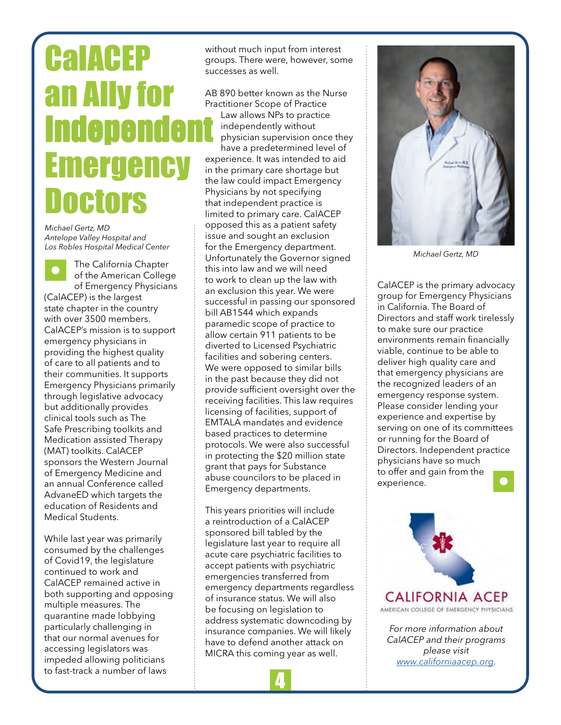## <span id="page-3-0"></span>**CalACEP** an Ally for **Independent** Emergency **Doctors**

*Michael Gertz, MD Antelope Valley Hospital and Los Robles Hospital Medical Center*

The California Chapter of the American College of Emergency Physicians (CalACEP) is the largest state chapter in the country with over 3500 members. CalACEP's mission is to support emergency physicians in providing the highest quality of care to all patients and to their communities. It supports Emergency Physicians primarily through legislative advocacy but additionally provides clinical tools such as The Safe Prescribing toolkits and Medication assisted Therapy (MAT) toolkits. CalACEP sponsors the Western Journal of Emergency Medicine and an annual Conference called AdvaneED which targets the education of Residents and Medical Students.

While last year was primarily consumed by the challenges of Covid19, the legislature continued to work and CalACEP remained active in both supporting and opposing multiple measures. The quarantine made lobbying particularly challenging in that our normal avenues for accessing legislators was impeded allowing politicians to fast-track a number of laws

without much input from interest groups. There were, however, some successes as well.

AB 890 better known as the Nurse Practitioner Scope of Practice Law allows NPs to practice independently without physician supervision once they have a predetermined level of experience. It was intended to aid in the primary care shortage but the law could impact Emergency Physicians by not specifying that independent practice is limited to primary care. CalACEP opposed this as a patient safety issue and sought an exclusion for the Emergency department. Unfortunately the Governor signed this into law and we will need to work to clean up the law with an exclusion this year. We were successful in passing our sponsored bill AB1544 which expands paramedic scope of practice to allow certain 911 patients to be diverted to Licensed Psychiatric facilities and sobering centers. We were opposed to similar bills in the past because they did not provide sufficient oversight over the receiving facilities. This law requires licensing of facilities, support of EMTALA mandates and evidence based practices to determine protocols. We were also successful in protecting the \$20 million state grant that pays for Substance abuse councilors to be placed in Emergency departments.

This years priorities will include a reintroduction of a CalACEP sponsored bill tabled by the legislature last year to require all acute care psychiatric facilities to accept patients with psychiatric emergencies transferred from emergency departments regardless of insurance status. We will also be focusing on legislation to address systematic downcoding by insurance companies. We will likely have to defend another attack on MICRA this coming year as well.

4



*Michael Gertz, MD*

CalACEP is the primary advocacy group for Emergency Physicians in California. The Board of Directors and staff work tirelessly to make sure our practice environments remain financially viable, continue to be able to deliver high quality care and that emergency physicians are the recognized leaders of an emergency response system. Please consider lending your experience and expertise by serving on one of its committees or running for the Board of Directors. Independent practice physicians have so much to offer and gain from the experience.



*For more information about CalACEP and their programs please visit <www.californiaacep.org>.*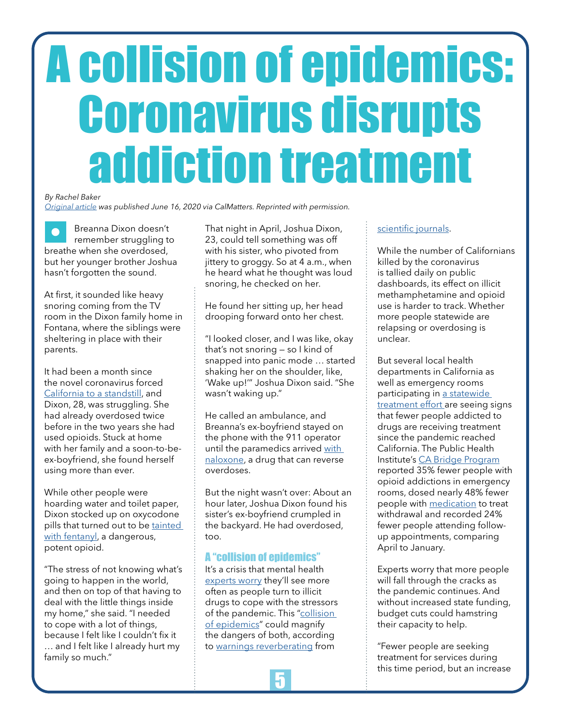# <span id="page-4-0"></span>A collision of epidemics: Coronavirus disrupts addiction treatment

#### *By Rachel Baker*

*[Original article](https://calmatters.org/projects/california-coronavirus-treatment-drugs-opioid-addiction/?) was published June 16, 2020 via CalMatters. Reprinted with permission.*

Breanna Dixon doesn't remember struggling to breathe when she overdosed, but her younger brother Joshua hasn't forgotten the sound.

At first, it sounded like heavy snoring coming from the TV room in the Dixon family home in Fontana, where the siblings were sheltering in place with their parents.

It had been a month since the novel coronavirus forced [California to a standstill](https://www.gov.ca.gov/wp-content/uploads/2020/03/3.19.20-attested-EO-N-33-20-COVID-19-HEALTH-ORDER.pdf), and Dixon, 28, was struggling. She had already overdosed twice before in the two years she had used opioids. Stuck at home with her family and a soon-to-beex-boyfriend, she found herself using more than ever.

While other people were hoarding water and toilet paper, Dixon stocked up on oxycodone pills that turned out to be [tainted](https://www.drugabuse.gov/about-nida/noras-blog/2017/04/addressing-americas-fentanyl-crisis)  [with fentanyl,](https://www.drugabuse.gov/about-nida/noras-blog/2017/04/addressing-americas-fentanyl-crisis) a dangerous, potent opioid.

"The stress of not knowing what's going to happen in the world, and then on top of that having to deal with the little things inside my home," she said. "I needed to cope with a lot of things, because I felt like I couldn't fix it … and I felt like I already hurt my family so much."

That night in April, Joshua Dixon, 23, could tell something was off with his sister, who pivoted from jittery to groggy. So at 4 a.m., when he heard what he thought was loud snoring, he checked on her.

He found her sitting up, her head drooping forward onto her chest.

"I looked closer, and I was like, okay that's not snoring — so I kind of snapped into panic mode … started shaking her on the shoulder, like, 'Wake up!'" Joshua Dixon said. "She wasn't waking up."

He called an ambulance, and Breanna's ex-boyfriend stayed on the phone with the 911 operator until the paramedics arrived [with](https://www.drugabuse.gov/drug-topics/opioids/opioid-overdose-reversal-naloxone-narcan-evzio)  [naloxone](https://www.drugabuse.gov/drug-topics/opioids/opioid-overdose-reversal-naloxone-narcan-evzio), a drug that can reverse overdoses.

But the night wasn't over: About an hour later, Joshua Dixon found his sister's ex-boyfriend crumpled in the backyard. He had overdosed, too.

#### A "collision of epidemics"

It's a crisis that mental health [experts worry](https://www.ncbi.nlm.nih.gov/pmc/articles/PMC7138334/) they'll see more often as people turn to illicit drugs to cope with the stressors of the pandemic. This ["collision](https://www.ncbi.nlm.nih.gov/pmc/articles/PMC7138334/)  [of epidemics](https://www.ncbi.nlm.nih.gov/pmc/articles/PMC7138334/)" could magnify the dangers of both, according to [warnings reverberating](https://www.ncbi.nlm.nih.gov/pmc/articles/PMC7138333/) from

#### [scientific journals](https://www.ncbi.nlm.nih.gov/pmc/articles/PMC7138407/).

While the number of Californians killed by the coronavirus is tallied daily on public dashboards, its effect on illicit methamphetamine and opioid use is harder to track. Whether more people statewide are relapsing or overdosing is unclear.

But several local health departments in California as well as emergency rooms participating in [a statewide](https://www.bridgetotreatment.org/cabridgeprogram)  [treatment effort](https://www.bridgetotreatment.org/cabridgeprogram) are seeing signs that fewer people addicted to drugs are receiving treatment since the pandemic reached California. The Public Health Institute's [CA Bridge Program](https://www.bridgetotreatment.org/cabridgeprogram) reported 35% fewer people with opioid addictions in emergency rooms, dosed nearly 48% fewer people with [medication](https://www.ncbi.nlm.nih.gov/books/NBK535267/) to treat withdrawal and recorded 24% fewer people attending followup appointments, comparing April to January.

Experts worry that more people will fall through the cracks as the pandemic continues. And without increased state funding, budget cuts could hamstring their capacity to help.

"Fewer people are seeking treatment for services during this time period, but an increase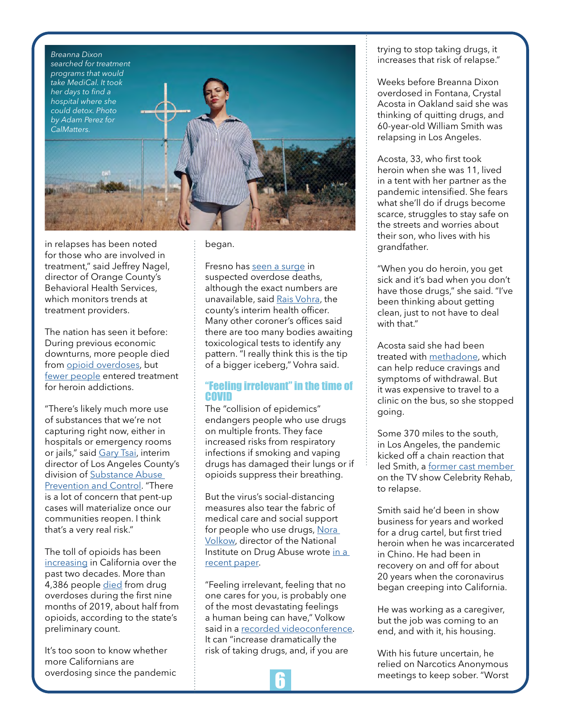

in relapses has been noted for those who are involved in treatment," said Jeffrey Nagel, director of Orange County's Behavioral Health Services, which monitors trends at treatment providers.

The nation has seen it before: During previous economic downturns, more people died from [opioid overdoses](https://onlinelibrary.wiley.com/doi/full/10.1111/coep.12439), but [fewer people](https://onlinelibrary.wiley.com/doi/full/10.1111/coep.12439) entered treatment for heroin addictions.

"There's likely much more use of substances that we're not capturing right now, either in hospitals or emergency rooms or jails," said [Gary Tsai,](https://alumni.ucla.edu/gary-tsai/) interim director of Los Angeles County's division of [Substance Abuse](http://publichealth.lacounty.gov/sapc/)  [Prevention and Control](http://publichealth.lacounty.gov/sapc/). "There is a lot of concern that pent-up cases will materialize once our communities reopen. I think that's a very real risk."

The toll of opioids has been [increasing](https://www.drugabuse.gov/drug-topics/opioids/opioid-summaries-by-state/california-opioid-involved-deaths-related-harms) in California over the past two decades. More than 4,386 people [died](http://skylab.cdph.ca.gov/) from drug overdoses during the first nine months of 2019, about half from opioids, according to the state's preliminary count.

It's too soon to know whether more Californians are overdosing since the pandemic began.

Fresno has [seen a surge](https://www.fresnosheriff.org/media-relations/beware-of-potentially-fatal-fentanyl-pills-disguised-as-xanax.html) in suspected overdose deaths, although the exact numbers are unavailable, said [Rais Vohra](https://www.fresno.ucsf.edu/ucsf-fresno-faculty/rais-vohra-md/), the county's interim health officer. Many other coroner's offices said there are too many bodies awaiting toxicological tests to identify any pattern. "I really think this is the tip of a bigger iceberg," Vohra said.

#### "Feeling irrelevant" in the time of COVID

The "collision of epidemics" endangers people who use drugs on multiple fronts. They face increased risks from respiratory infections if smoking and vaping drugs has damaged their lungs or if opioids suppress their breathing.

But the virus's social-distancing measures also tear the fabric of medical care and social support for people who use drugs, [Nora](https://www.drugabuse.gov/about-nida/directors-page/biography-dr-nora-volkow)  [Volkow,](https://www.drugabuse.gov/about-nida/directors-page/biography-dr-nora-volkow) director of the National Institute on Drug Abuse wrote [in a](https://www.ncbi.nlm.nih.gov/pmc/articles/PMC7138334/)  [recent paper](https://www.ncbi.nlm.nih.gov/pmc/articles/PMC7138334/).

"Feeling irrelevant, feeling that no one cares for you, is probably one of the most devastating feelings a human being can have," Volkow said in a [recorded videoconference.](https://directorsblog.nih.gov/2020/04/21/coping-with-the-collision-of-public-health-crises-covid-19-and-substance-use-disorders/) It can "increase dramatically the risk of taking drugs, and, if you are



trying to stop taking drugs, it increases that risk of relapse."

Weeks before Breanna Dixon overdosed in Fontana, Crystal Acosta in Oakland said she was thinking of quitting drugs, and 60-year-old William Smith was relapsing in Los Angeles.

Acosta, 33, who first took heroin when she was 11, lived in a tent with her partner as the pandemic intensified. She fears what she'll do if drugs become scarce, struggles to stay safe on the streets and worries about their son, who lives with his grandfather.

"When you do heroin, you get sick and it's bad when you don't have those drugs," she said. "I've been thinking about getting clean, just to not have to deal with that."

Acosta said she had been treated with [methadone,](https://www.samhsa.gov/medication-assisted-treatment/treatment/methadone) which can help reduce cravings and symptoms of withdrawal. But it was expensive to travel to a clinic on the bus, so she stopped going.

Some 370 miles to the south, in Los Angeles, the pandemic kicked off a chain reaction that led Smith, a [former cast member](https://www.imdb.com/name/nm2926391/)  on the TV show Celebrity Rehab, to relapse.

Smith said he'd been in show business for years and worked for a drug cartel, but first tried heroin when he was incarcerated in Chino. He had been in recovery on and off for about 20 years when the coronavirus began creeping into California.

He was working as a caregiver, but the job was coming to an end, and with it, his housing.

With his future uncertain, he relied on Narcotics Anonymous meetings to keep sober. "Worst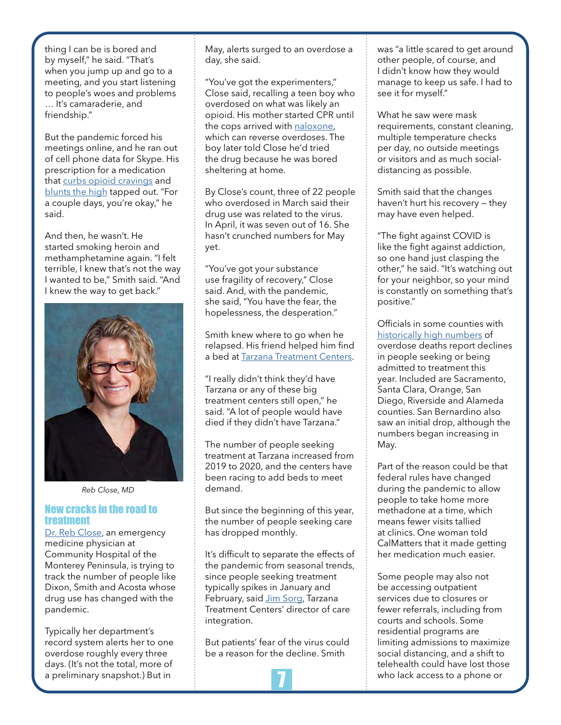thing I can be is bored and by myself," he said. "That's when you jump up and go to a meeting, and you start listening to people's woes and problems … It's camaraderie, and friendship."

But the pandemic forced his meetings online, and he ran out of cell phone data for Skype. His prescription for a medication that [curbs opioid cravings](https://www.chcf.org/wp-content/uploads/2019/08/BuprenorphineOverviewClinicians.pdf) and [blunts the high](https://www.ncbi.nlm.nih.gov/books/NBK535267/) tapped out. "For a couple days, you're okay," he said.

And then, he wasn't. He started smoking heroin and methamphetamine again. "I felt terrible, I knew that's not the way I wanted to be," Smith said. "And I knew the way to get back."



*Reb Close, MD*

#### New cracks in the road to treatment

[Dr. Reb Close,](https://www.chomp.org/find-a-doctor/doctor-profile/reb-close/#.XtP32J5Khp8) an emergency medicine physician at Community Hospital of the Monterey Peninsula, is trying to track the number of people like Dixon, Smith and Acosta whose drug use has changed with the pandemic.

Typically her department's record system alerts her to one overdose roughly every three days. (It's not the total, more of a preliminary snapshot.) But in

May, alerts surged to an overdose a day, she said.

"You've got the experimenters," Close said, recalling a teen boy who overdosed on what was likely an opioid. His mother started CPR until the cops arrived with [naloxone,](https://www.drugabuse.gov/publications/drugfacts/naloxone) which can reverse overdoses. The boy later told Close he'd tried the drug because he was bored sheltering at home.

By Close's count, three of 22 people who overdosed in March said their drug use was related to the virus. In April, it was seven out of 16. She hasn't crunched numbers for May yet.

"You've got your substance use fragility of recovery," Close said. And, with the pandemic, she said, "You have the fear, the hopelessness, the desperation."

Smith knew where to go when he relapsed. His friend helped him find a bed at [Tarzana Treatment Centers](https://www.tarzanatc.org/).

"I really didn't think they'd have Tarzana or any of these big treatment centers still open," he said. "A lot of people would have died if they didn't have Tarzana."

The number of people seeking treatment at Tarzana increased from 2019 to 2020, and the centers have been racing to add beds to meet demand.

But since the beginning of this year, the number of people seeking care has dropped monthly.

It's difficult to separate the effects of the pandemic from seasonal trends, since people seeking treatment typically spikes in January and February, said [Jim Sorg](https://www.linkedin.com/in/jimsorg/), Tarzana Treatment Centers' director of care integration.

But patients' fear of the virus could be a reason for the decline. Smith

was "a little scared to get around other people, of course, and I didn't know how they would manage to keep us safe. I had to see it for myself."

What he saw were mask requirements, constant cleaning, multiple temperature checks per day, no outside meetings or visitors and as much socialdistancing as possible.

Smith said that the changes haven't hurt his recovery — they may have even helped.

"The fight against COVID is like the fight against addiction, so one hand just clasping the other," he said. "It's watching out for your neighbor, so your mind is constantly on something that's positive."

Officials in some counties with [historically high numbers](https://skylab.cdph.ca.gov/ODdash/) of overdose deaths report declines in people seeking or being admitted to treatment this year. Included are Sacramento, Santa Clara, Orange, San Diego, Riverside and Alameda counties. San Bernardino also saw an initial drop, although the numbers began increasing in May.

Part of the reason could be that federal rules have changed during the pandemic to allow people to take home more methadone at a time, which means fewer visits tallied at clinics. One woman told CalMatters that it made getting her medication much easier.

Some people may also not be accessing outpatient services due to closures or fewer referrals, including from courts and schools. Some residential programs are limiting admissions to maximize social distancing, and a shift to telehealth could have lost those who lack access to a phone or

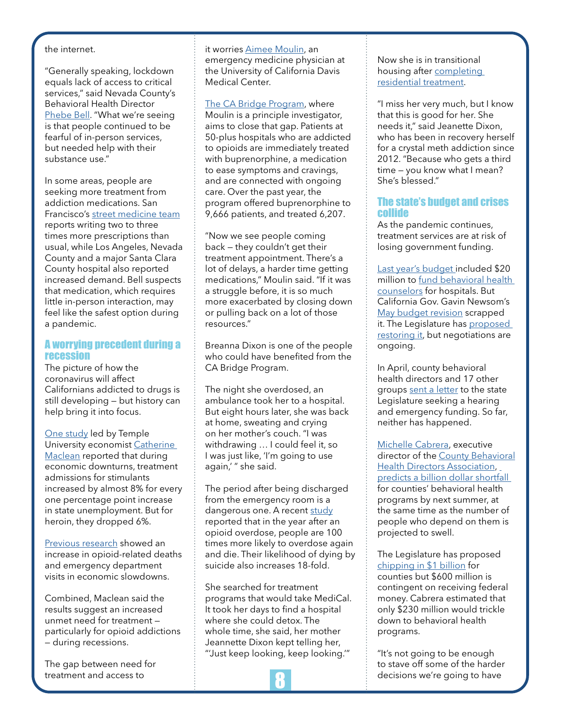#### the internet.

"Generally speaking, lockdown equals lack of access to critical services," said Nevada County's Behavioral Health Director [Phebe Bell](https://www.mynevadacounty.com/directory.aspx?EID=151). "What we're seeing is that people continued to be fearful of in-person services, but needed help with their substance use."

In some areas, people are seeking more treatment from addiction medications. San Francisco's [street medicine team](https://www.sfdph.org/dph/files/wpcfiles/presentations/Street_Medicines_Low-Barrier_Buprenorphine_Program.pdf) reports writing two to three times more prescriptions than usual, while Los Angeles, Nevada County and a major Santa Clara County hospital also reported increased demand. Bell suspects that medication, which requires little in-person interaction, may feel like the safest option during a pandemic.

#### A worrying precedent during a recession

The picture of how the coronavirus will affect Californians addicted to drugs is still developing — but history can help bring it into focus.

[One study](https://onlinelibrary.wiley.com/doi/full/10.1111/coep.12439) led by Temple University economist [Catherine](https://liberalarts.temple.edu/academics/faculty/maclean-catherine)  [Maclean](https://liberalarts.temple.edu/academics/faculty/maclean-catherine) reported that during economic downturns, treatment admissions for stimulants increased by almost 8% for every one percentage point increase in state unemployment. But for heroin, they dropped 6%.

[Previous research](https://www.nber.org/papers/w23192.pdf) showed an increase in opioid-related deaths and emergency department visits in economic slowdowns.

Combined, Maclean said the results suggest an increased unmet need for treatment particularly for opioid addictions — during recessions.

The gap between need for treatment and access to

#### it worries [Aimee Moulin,](https://health.ucdavis.edu/emergency/ourteam/faculty/moulin.html) an

emergency medicine physician at the University of California Davis Medical Center.

[The CA Bridge Program](https://www.bridgetotreatment.org/cabridgeprogram), where Moulin is a principle investigator, aims to close that gap. Patients at 50-plus hospitals who are addicted to opioids are immediately treated with buprenorphine, a medication to ease symptoms and cravings, and are connected with ongoing care. Over the past year, the program offered buprenorphine to 9,666 patients, and treated 6,207.

"Now we see people coming back — they couldn't get their treatment appointment. There's a lot of delays, a harder time getting medications," Moulin said. "If it was a struggle before, it is so much more exacerbated by closing down or pulling back on a lot of those resources."

Breanna Dixon is one of the people who could have benefited from the CA Bridge Program.

The night she overdosed, an ambulance took her to a hospital. But eight hours later, she was back at home, sweating and crying on her mother's couch. "I was withdrawing … I could feel it, so I was just like, 'I'm going to use again,' " she said.

The period after being discharged from the emergency room is a dangerous one. A recent [study](https://www.ajpmonline.org/article/S0749-3797(20)30128-8/fulltext#%20%20%20111098765432112345678910) reported that in the year after an opioid overdose, people are 100 times more likely to overdose again and die. Their likelihood of dying by suicide also increases 18-fold.

She searched for treatment programs that would take MediCal. It took her days to find a hospital where she could detox. The whole time, she said, her mother Jeannette Dixon kept telling her, "'Just keep looking, keep looking.'"



Now she is in transitional housing after [completing](http://www.stjoghcs.org/)  [residential treatment](http://www.stjoghcs.org/).

"I miss her very much, but I know that this is good for her. She needs it," said Jeanette Dixon, who has been in recovery herself for a crystal meth addiction since 2012. "Because who gets a third time — you know what I mean? She's blessed."

#### The state's budget and crises collide

As the pandemic continues, treatment services are at risk of losing government funding.

[Last year's budget](http://www.ebudget.ca.gov/2019-20/pdf/Enacted/BudgetSummary/FullBudgetSummary.pdf) included \$20 million to [fund behavioral health](https://static1.squarespace.com/static/5c412ab755b02cec3b4ed998/t/5e66cccfa4656772cbc4a699/1583795407619/BHPP+Webinar+DHCS+QA+Notes_R.pdf)  [counselors](https://static1.squarespace.com/static/5c412ab755b02cec3b4ed998/t/5e66cccfa4656772cbc4a699/1583795407619/BHPP+Webinar+DHCS+QA+Notes_R.pdf) for hospitals. But California Gov. Gavin Newsom's [May budget revision](http://www.ebudget.ca.gov/2020-21/pdf/Revised/BudgetSummary/FullBudgetSummary.pdf) scrapped it. The Legislature has [proposed](https://abgt.assembly.ca.gov/sites/abgt.assembly.ca.gov/files/Floor%20Report%20of%20the%202020-21%20Budget.pdf)  [restoring it](https://abgt.assembly.ca.gov/sites/abgt.assembly.ca.gov/files/Floor%20Report%20of%20the%202020-21%20Budget.pdf), but negotiations are ongoing.

In April, county behavioral health directors and 17 other groups [sent a letter](https://www.cacfs.org/assets/Assembly_Senate%20Special%20Hearing%20Coalition%20Letter%20and%20Testimony_4.16.20.pdf) to the state Legislature seeking a hearing and emergency funding. So far, neither has happened.

[Michelle Cabrera,](https://www.cbhda.org/michelle-doty-cabrera) executive director of the [County Behavioral](https://www.cbhda.org/) [Health Directors Association](https://www.cbhda.org/), [predicts a billion dollar shortfall](https://28yf9qb4mmk37irby3aew021-wpengine.netdna-ssl.com/wp-content/uploads/sites/67/2020/06/Save-the-Behavioral-Health-Safety-Net-Coalition-Letter-5.22.20.pdf)  for counties' behavioral health programs by next summer, at the same time as the number of people who depend on them is projected to swell.

The Legislature has proposed [chipping in \\$1 billion](https://abgt.assembly.ca.gov/sites/abgt.assembly.ca.gov/files/Floor%20Report%20of%20the%202020-21%20Budget.pdf) for counties but \$600 million is contingent on receiving federal money. Cabrera estimated that only \$230 million would trickle down to behavioral health programs.

"It's not going to be enough to stave off some of the harder decisions we're going to have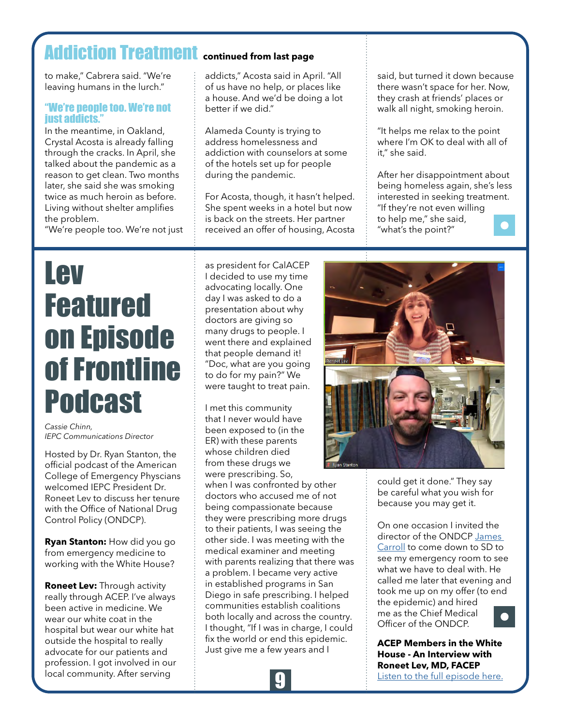### <span id="page-8-0"></span>Addiction Treatment **continued from last page**

to make," Cabrera said. "We're leaving humans in the lurch."

#### "We're people too. We're not just addicts."

In the meantime, in Oakland, Crystal Acosta is already falling through the cracks. In April, she talked about the pandemic as a reason to get clean. Two months later, she said she was smoking twice as much heroin as before. Living without shelter amplifies the problem.

"We're people too. We're not just

addicts," Acosta said in April. "All of us have no help, or places like a house. And we'd be doing a lot better if we did."

Alameda County is trying to address homelessness and addiction with counselors at some of the hotels set up for people during the pandemic.

For Acosta, though, it hasn't helped. She spent weeks in a hotel but now is back on the streets. Her partner received an offer of housing, Acosta said, but turned it down because there wasn't space for her. Now, they crash at friends' places or walk all night, smoking heroin.

"It helps me relax to the point where I'm OK to deal with all of it," she said.

After her disappointment about being homeless again, she's less interested in seeking treatment. "If they're not even willing to help me," she said, "what's the point?"

## Lev Featured on Episode of Frontline Podcast

*Cassie Chinn, IEPC Communications Director*

Hosted by Dr. Ryan Stanton, the official podcast of the American College of Emergency Physcians welcomed IEPC President Dr. Roneet Lev to discuss her tenure with the Office of National Drug Control Policy (ONDCP).

**Ryan Stanton:** How did you go from emergency medicine to working with the White House?

**Roneet Lev:** Through activity really through ACEP. I've always been active in medicine. We wear our white coat in the hospital but wear our white hat outside the hospital to really advocate for our patients and profession. I got involved in our local community. After serving

as president for CalACEP I decided to use my time advocating locally. One day I was asked to do a presentation about why doctors are giving so many drugs to people. I went there and explained that people demand it! "Doc, what are you going to do for my pain?" We were taught to treat pain.

I met this community that I never would have been exposed to (in the ER) with these parents whose children died from these drugs we were prescribing. So,

when I was confronted by other doctors who accused me of not being compassionate because they were prescribing more drugs to their patients, I was seeing the other side. I was meeting with the medical examiner and meeting with parents realizing that there was a problem. I became very active in established programs in San Diego in safe prescribing. I helped communities establish coalitions both locally and across the country. I thought, "If I was in charge, I could fix the world or end this epidemic. Just give me a few years and I





could get it done." They say be careful what you wish for because you may get it.

On one occasion I invited the director of the ONDCP [James](https://www.whitehouse.gov/people/jim-carroll/)  [Carroll](https://www.whitehouse.gov/people/jim-carroll/) to come down to SD to see my emergency room to see what we have to deal with. He called me later that evening and took me up on my offer (to end the epidemic) and hired me as the Chief Medical Officer of the ONDCP.



**ACEP Members in the White House - An Interview with Roneet Lev, MD, FACEP** [Listen to the full episode here.](https://soundcloud.com/acep-frontline/acep-members-in-the-white-house-an-interview-with-roneet-lev-md-facep)